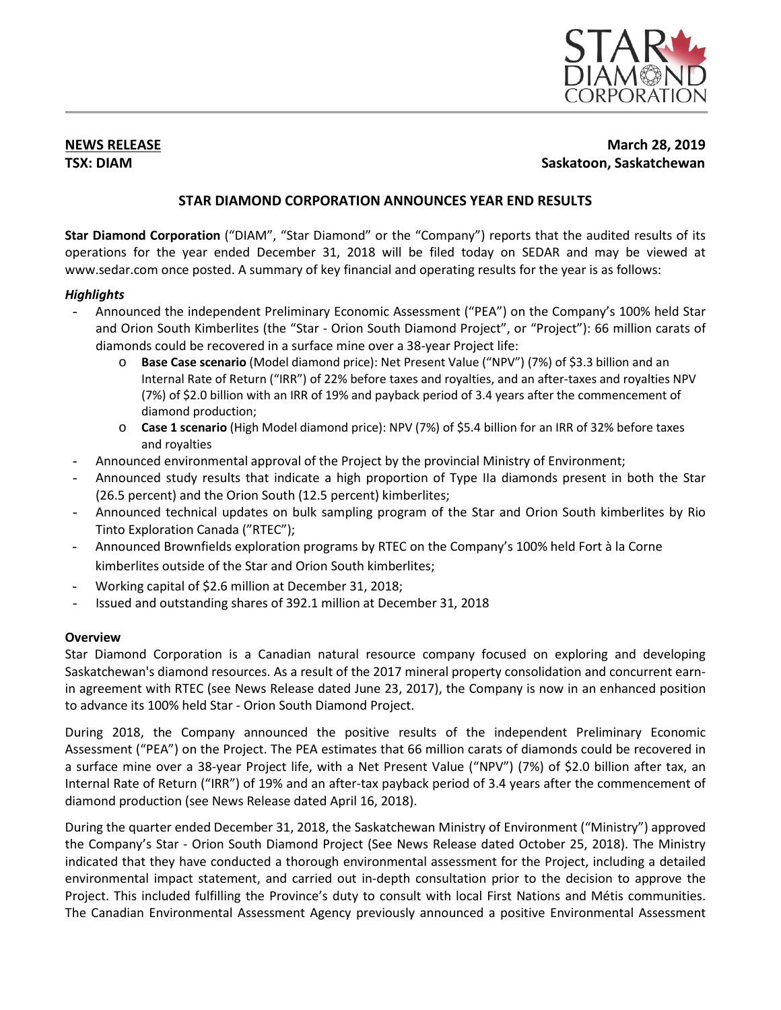

# **NEWS RELEASE March 28, 2019 TSX: DIAM Saskatoon, Saskatchewan**

# **STAR DIAMOND CORPORATION ANNOUNCES YEAR END RESULTS**

**Star Diamond Corporation** ("DIAM", "Star Diamond" or the "Company") reports that the audited results of its operations for the year ended December 31, 2018 will be filed today on SEDAR and may be viewed at www.sedar.com once posted. A summary of key financial and operating results for the year is as follows:

## *Highlights*

- Announced the independent [Preliminary Economic Assessment \("PEA"\)](http://www.stardiamondcorp.com/_resources/reports/The-Star-Orion-South-NI-43-101_PEA-Technical-Report.pdf) on the Company's 100% held Star and Orion South Kimberlites (the "Star - Orion South Diamond Project", or "Project"): 66 million carats of diamonds could be recovered in a surface mine over a 38-year Project life:
	- o **Base Case scenario** (Model diamond price): Net Present Value ("NPV") (7%) of \$3.3 billion and an Internal Rate of Return ("IRR") of 22% before taxes and royalties, and an after-taxes and royalties NPV (7%) of \$2.0 billion with an IRR of 19% and payback period of 3.4 years after the commencement of diamond production;
	- o **Case 1 scenario** (High Model diamond price): NPV (7%) of \$5.4 billion for an IRR of 32% before taxes and royalties
- Announced environmental approval of the Project by the provincial Ministry of Environment;
- Announced study results that indicate a high proportion of Type IIa diamonds present in both the Star (26.5 percent) and the Orion South (12.5 percent) kimberlites;
- Announced technical updates on bulk sampling program of the Star and Orion South kimberlites by Rio Tinto Exploration Canada ("RTEC");
- Announced Brownfields exploration programs by RTEC on the Company's 100% held Fort à la Corne kimberlites outside of the Star and Orion South kimberlites;
- Working capital of \$2.6 million at December 31, 2018;
- Issued and outstanding shares of 392.1 million at December 31, 2018

#### **Overview**

Star Diamond Corporation is a Canadian natural resource company focused on exploring and developing Saskatchewan's diamond resources. As a result of the 2017 mineral property consolidation and concurrent earnin agreement with RTEC (see News Release dated [June 23, 2017\)](http://www.stardiamondcorp.com/_resources/news/nr_2017_06_23.pdf), the Company is now in an enhanced position to advance its 100% held Star - Orion South Diamond Project.

During 2018, the Company announced the positive results of the independent Preliminary Economic Assessment ("PEA") on the Project. The PEA estimates that 66 million carats of diamonds could be recovered in a surface mine over a 38-year Project life, with a Net Present Value ("NPV") (7%) of \$2.0 billion after tax, an Internal Rate of Return ("IRR") of 19% and an after-tax payback period of 3.4 years after the commencement of diamond production (see News Release dated April 16, 2018).

During the quarter ended December 31, 2018, the Saskatchewan Ministry of Environment ("Ministry") approved the Company's Star - Orion South Diamond Project (See News Release dated October 25, 2018). The Ministry indicated that they have conducted a thorough environmental assessment for the Project, including a detailed environmental impact statement, and carried out in-depth consultation prior to the decision to approve the Project. This included fulfilling the Province's duty to consult with local First Nations and Métis communities. The Canadian Environmental Assessment Agency previously announced a positive Environmental Assessment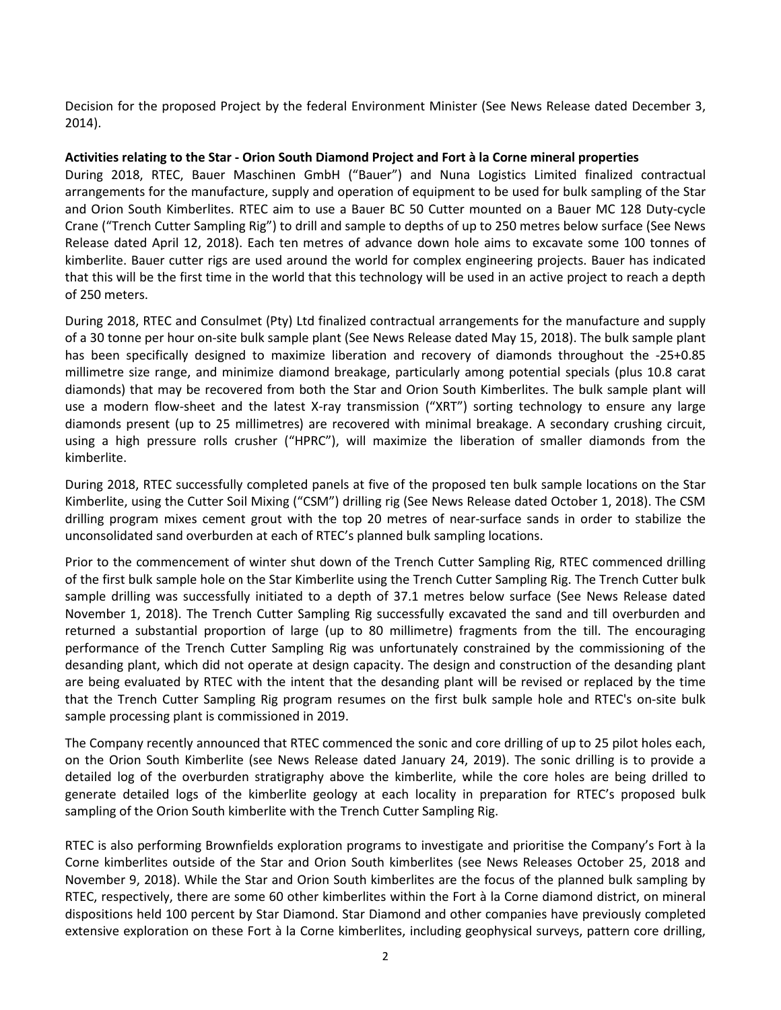Decision for the proposed Project by the federal Environment Minister (See News Release dated December 3, 2014).

# **Activities relating to the Star - Orion South Diamond Project and Fort à la Corne mineral properties**

During 2018, RTEC, Bauer Maschinen GmbH ("Bauer") and Nuna Logistics Limited finalized contractual arrangements for the manufacture, supply and operation of equipment to be used for bulk sampling of the Star and Orion South Kimberlites. RTEC aim to use a Bauer BC 50 Cutter mounted on a Bauer MC 128 Duty-cycle Crane ("Trench Cutter Sampling Rig") to drill and sample to depths of up to 250 metres below surface (See News Release dated April 12, 2018). Each ten metres of advance down hole aims to excavate some 100 tonnes of kimberlite. Bauer cutter rigs are used around the world for complex engineering projects. Bauer has indicated that this will be the first time in the world that this technology will be used in an active project to reach a depth of 250 meters.

During 2018, RTEC and Consulmet (Pty) Ltd finalized contractual arrangements for the manufacture and supply of a 30 tonne per hour on-site bulk sample plant (See News Release dated May 15, 2018). The bulk sample plant has been specifically designed to maximize liberation and recovery of diamonds throughout the -25+0.85 millimetre size range, and minimize diamond breakage, particularly among potential specials (plus 10.8 carat diamonds) that may be recovered from both the Star and Orion South Kimberlites. The bulk sample plant will use a modern flow-sheet and the latest X-ray transmission ("XRT") sorting technology to ensure any large diamonds present (up to 25 millimetres) are recovered with minimal breakage. A secondary crushing circuit, using a high pressure rolls crusher ("HPRC"), will maximize the liberation of smaller diamonds from the kimberlite.

During 2018, RTEC successfully completed panels at five of the proposed ten bulk sample locations on the Star Kimberlite, using the Cutter Soil Mixing ("CSM") drilling rig (See News Release dated October 1, 2018). The CSM drilling program mixes cement grout with the top 20 metres of near-surface sands in order to stabilize the unconsolidated sand overburden at each of RTEC's planned bulk sampling locations.

Prior to the commencement of winter shut down of the Trench Cutter Sampling Rig, RTEC commenced drilling of the first bulk sample hole on the Star Kimberlite using the Trench Cutter Sampling Rig. The Trench Cutter bulk sample drilling was successfully initiated to a depth of 37.1 metres below surface (See News Release dated November 1, 2018). The Trench Cutter Sampling Rig successfully excavated the sand and till overburden and returned a substantial proportion of large (up to 80 millimetre) fragments from the till. The encouraging performance of the Trench Cutter Sampling Rig was unfortunately constrained by the commissioning of the desanding plant, which did not operate at design capacity. The design and construction of the desanding plant are being evaluated by RTEC with the intent that the desanding plant will be revised or replaced by the time that the Trench Cutter Sampling Rig program resumes on the first bulk sample hole and RTEC's on-site bulk sample processing plant is commissioned in 2019.

The Company recently announced that RTEC commenced the sonic and core drilling of up to 25 pilot holes each, on the Orion South Kimberlite (see News Release dated January 24, 2019). The sonic drilling is to provide a detailed log of the overburden stratigraphy above the kimberlite, while the core holes are being drilled to generate detailed logs of the kimberlite geology at each locality in preparation for RTEC's proposed bulk sampling of the Orion South kimberlite with the Trench Cutter Sampling Rig.

RTEC is also performing Brownfields exploration programs to investigate and prioritise the Company's Fort à la Corne kimberlites outside of the Star and Orion South kimberlites (see News Releases October 25, 2018 and November 9, 2018). While the Star and Orion South kimberlites are the focus of the planned bulk sampling by RTEC, respectively, there are some 60 other kimberlites within the Fort à la Corne diamond district, on mineral dispositions held 100 percent by Star Diamond. Star Diamond and other companies have previously completed extensive exploration on these Fort à la Corne kimberlites, including geophysical surveys, pattern core drilling,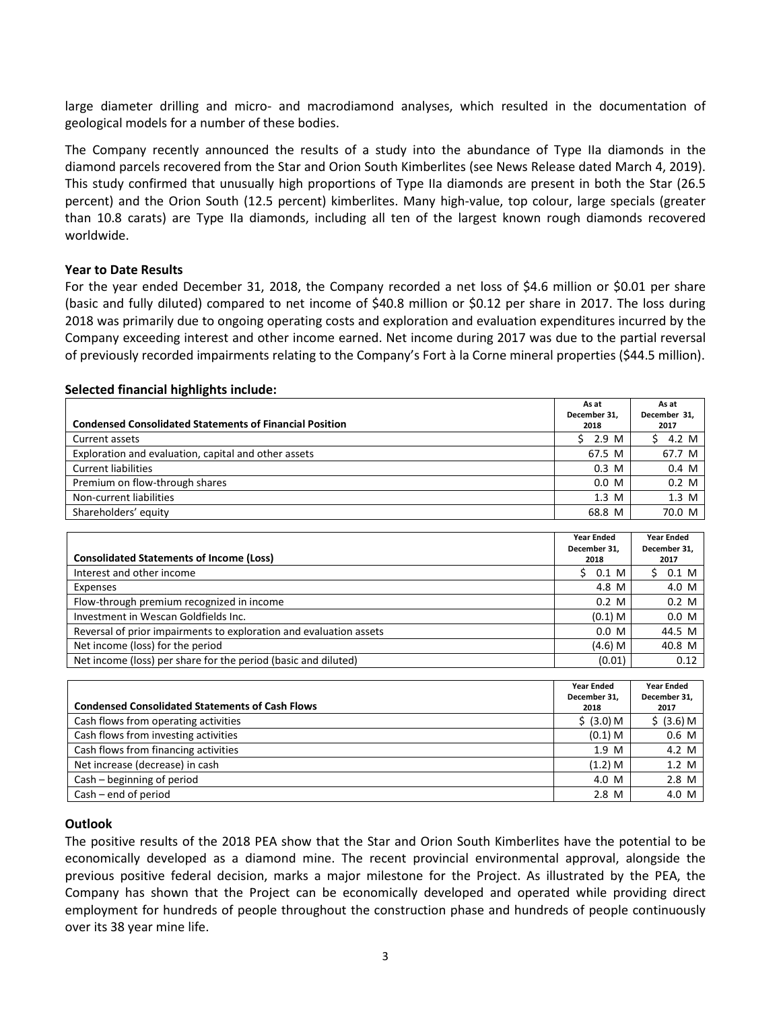large diameter drilling and micro- and macrodiamond analyses, which resulted in the documentation of geological models for a number of these bodies.

The Company recently announced the results of a study into the abundance of Type IIa diamonds in the diamond parcels recovered from the Star and Orion South Kimberlites (see News Release dated March 4, 2019). This study confirmed that unusually high proportions of Type IIa diamonds are present in both the Star (26.5 percent) and the Orion South (12.5 percent) kimberlites. Many high-value, top colour, large specials (greater than 10.8 carats) are Type IIa diamonds, including all ten of the largest known rough diamonds recovered worldwide.

## **Year to Date Results**

For the year ended December 31, 2018, the Company recorded a net loss of \$4.6 million or \$0.01 per share (basic and fully diluted) compared to net income of \$40.8 million or \$0.12 per share in 2017. The loss during 2018 was primarily due to ongoing operating costs and exploration and evaluation expenditures incurred by the Company exceeding interest and other income earned. Net income during 2017 was due to the partial reversal of previously recorded impairments relating to the Company's Fort à la Corne mineral properties (\$44.5 million).

#### **Selected financial highlights include:**

|                                                                    | As at                  | As at             |
|--------------------------------------------------------------------|------------------------|-------------------|
|                                                                    | December 31.           | December 31,      |
| <b>Condensed Consolidated Statements of Financial Position</b>     | 2018                   | 2017              |
| Current assets                                                     | Ś.<br>2.9 <sub>M</sub> | Ś.<br>4.2 M       |
| Exploration and evaluation, capital and other assets               | 67.5 M                 | 67.7 M            |
| <b>Current liabilities</b>                                         | $0.3$ M                | 0.4 M             |
| Premium on flow-through shares                                     | $0.0\,$ M              | 0.2 M             |
| Non-current liabilities                                            | $1.3$ M                | $1.3$ M           |
| Shareholders' equity                                               | 68.8 M                 | 70.0 M            |
|                                                                    |                        |                   |
|                                                                    | <b>Year Ended</b>      | <b>Year Ended</b> |
| <b>Consolidated Statements of Income (Loss)</b>                    | December 31.           | December 31.      |
|                                                                    | 2018                   | 2017              |
| Interest and other income                                          | Ś.<br>0.1 M            | Ś.<br>$0.1$ M     |
| Expenses                                                           | 4.8 M                  | 4.0 M             |
| Flow-through premium recognized in income                          | $0.2$ M                | 0.2 M             |
| Investment in Wescan Goldfields Inc.                               | $(0.1)$ M              | 0.0 M             |
| Reversal of prior impairments to exploration and evaluation assets | $0.0\,$ M              | 44.5 M            |
| Net income (loss) for the period                                   | (4.6) M                | 40.8 M            |
| Net income (loss) per share for the period (basic and diluted)     | (0.01)                 | 0.12              |
|                                                                    |                        |                   |

|                                                        | <b>Year Ended</b> | <b>Year Ended</b> |
|--------------------------------------------------------|-------------------|-------------------|
|                                                        | December 31.      | December 31.      |
| <b>Condensed Consolidated Statements of Cash Flows</b> | 2018              | 2017              |
| Cash flows from operating activities                   | \$ (3.0) M\$      | \$ (3.6) M        |
| Cash flows from investing activities                   | $(0.1)$ M         | $0.6$ M           |
| Cash flows from financing activities                   | 1.9 <sub>M</sub>  | 4.2 M             |
| Net increase (decrease) in cash                        | $(1.2)$ M         | 1.2 M             |
| Cash - beginning of period                             | 4.0 M             | 2.8 M             |
| $Cash - end of period$                                 | 2.8 M             | 4.0 M             |

#### **Outlook**

The positive results of the 2018 PEA show that the Star and Orion South Kimberlites have the potential to be economically developed as a diamond mine. The recent provincial environmental approval, alongside the previous positive federal decision, marks a major milestone for the Project. As illustrated by the PEA, the Company has shown that the Project can be economically developed and operated while providing direct employment for hundreds of people throughout the construction phase and hundreds of people continuously over its 38 year mine life.